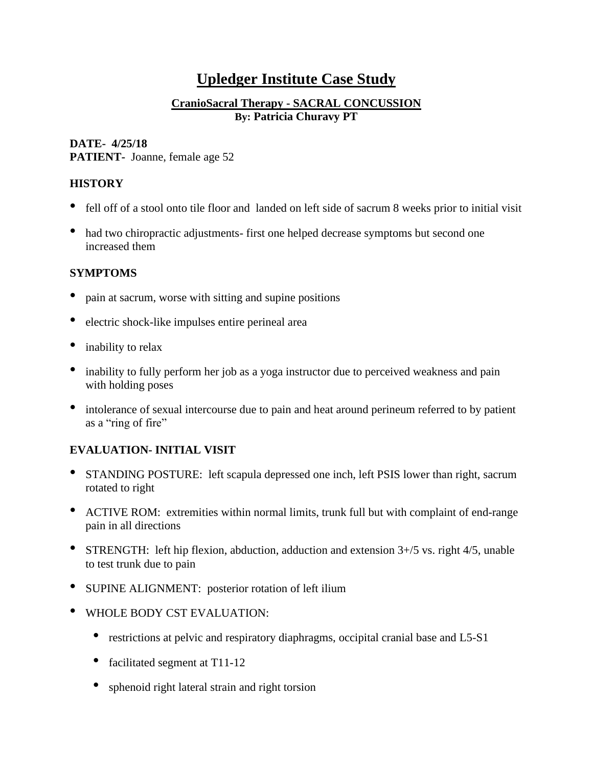# **Upledger Institute Case Study**

## **CranioSacral Therapy - SACRAL CONCUSSION By: Patricia Churavy PT**

## **DATE- 4/25/18**

**PATIENT-** Joanne, female age 52

# **HISTORY**

- fell off of a stool onto tile floor and landed on left side of sacrum 8 weeks prior to initial visit
- had two chiropractic adjustments- first one helped decrease symptoms but second one increased them

### **SYMPTOMS**

- pain at sacrum, worse with sitting and supine positions
- electric shock-like impulses entire perineal area
- inability to relax
- inability to fully perform her job as a yoga instructor due to perceived weakness and pain with holding poses
- intolerance of sexual intercourse due to pain and heat around perineum referred to by patient as a "ring of fire"

# **EVALUATION- INITIAL VISIT**

- STANDING POSTURE: left scapula depressed one inch, left PSIS lower than right, sacrum rotated to right
- ACTIVE ROM: extremities within normal limits, trunk full but with complaint of end-range pain in all directions
- STRENGTH: left hip flexion, abduction, adduction and extension 3+/5 vs. right 4/5, unable to test trunk due to pain
- SUPINE ALIGNMENT: posterior rotation of left ilium
- WHOLE BODY CST EVALUATION:
	- restrictions at pelvic and respiratory diaphragms, occipital cranial base and L5-S1
	- facilitated segment at T11-12
	- sphenoid right lateral strain and right torsion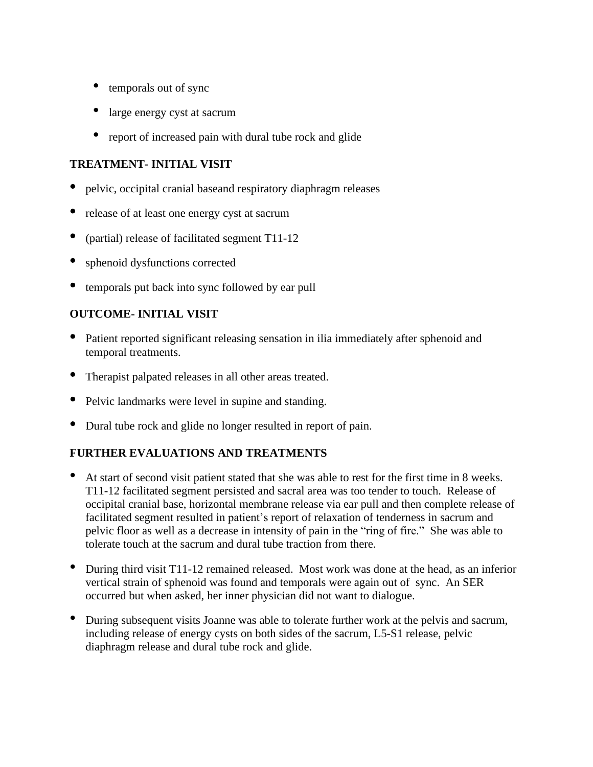- temporals out of sync
- large energy cyst at sacrum
- report of increased pain with dural tube rock and glide

## **TREATMENT- INITIAL VISIT**

- pelvic, occipital cranial baseand respiratory diaphragm releases
- release of at least one energy cyst at sacrum
- (partial) release of facilitated segment T11-12
- sphenoid dysfunctions corrected
- temporals put back into sync followed by ear pull

# **OUTCOME- INITIAL VISIT**

- Patient reported significant releasing sensation in ilia immediately after sphenoid and temporal treatments.
- Therapist palpated releases in all other areas treated.
- Pelvic landmarks were level in supine and standing.
- Dural tube rock and glide no longer resulted in report of pain.

# **FURTHER EVALUATIONS AND TREATMENTS**

- At start of second visit patient stated that she was able to rest for the first time in <sup>8</sup> weeks. T11-12 facilitated segment persisted and sacral area was too tender to touch. Release of occipital cranial base, horizontal membrane release via ear pull and then complete release of facilitated segment resulted in patient's report of relaxation of tenderness in sacrum and pelvic floor as well as a decrease in intensity of pain in the "ring of fire." She was able to tolerate touch at the sacrum and dural tube traction from there.
- During third visit T11-12 remained released. Most work was done at the head, as an inferior vertical strain of sphenoid was found and temporals were again out of sync. An SER occurred but when asked, her inner physician did not want to dialogue.
- During subsequent visits Joanne was able to tolerate further work at the pelvis and sacrum, including release of energy cysts on both sides of the sacrum, L5-S1 release, pelvic diaphragm release and dural tube rock and glide.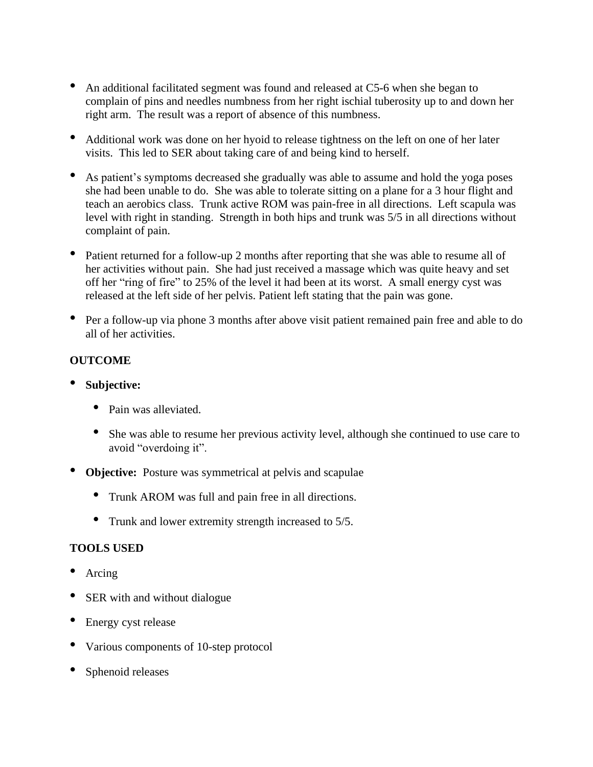- An additional facilitated segment was found and released at C5-6 when she began to complain of pins and needles numbness from her right ischial tuberosity up to and down her right arm. The result was a report of absence of this numbness.
- Additional work was done on her hyoid to release tightness on the left on one of her later visits. This led to SER about taking care of and being kind to herself.
- As patient's symptoms decreased she gradually was able to assume and hold the yoga poses she had been unable to do. She was able to tolerate sitting on a plane for a 3 hour flight and teach an aerobics class. Trunk active ROM was pain-free in all directions. Left scapula was level with right in standing. Strength in both hips and trunk was 5/5 in all directions without complaint of pain.
- Patient returned for a follow-up 2 months after reporting that she was able to resume all of her activities without pain. She had just received a massage which was quite heavy and set off her "ring of fire" to 25% of the level it had been at its worst. A small energy cyst was released at the left side of her pelvis. Patient left stating that the pain was gone.
- Per a follow-up via phone 3 months after above visit patient remained pain free and able to do all of her activities.

# **OUTCOME**

- **Subjective:** 
	- Pain was alleviated.
	- She was able to resume her previous activity level, although she continued to use care to avoid "overdoing it".
- **Objective:** Posture was symmetrical at pelvis and scapulae
	- Trunk AROM was full and pain free in all directions.
	- Trunk and lower extremity strength increased to 5/5.

### **TOOLS USED**

- Arcing
- SER with and without dialogue
- Energy cyst release
- Various components of 10-step protocol
- Sphenoid releases